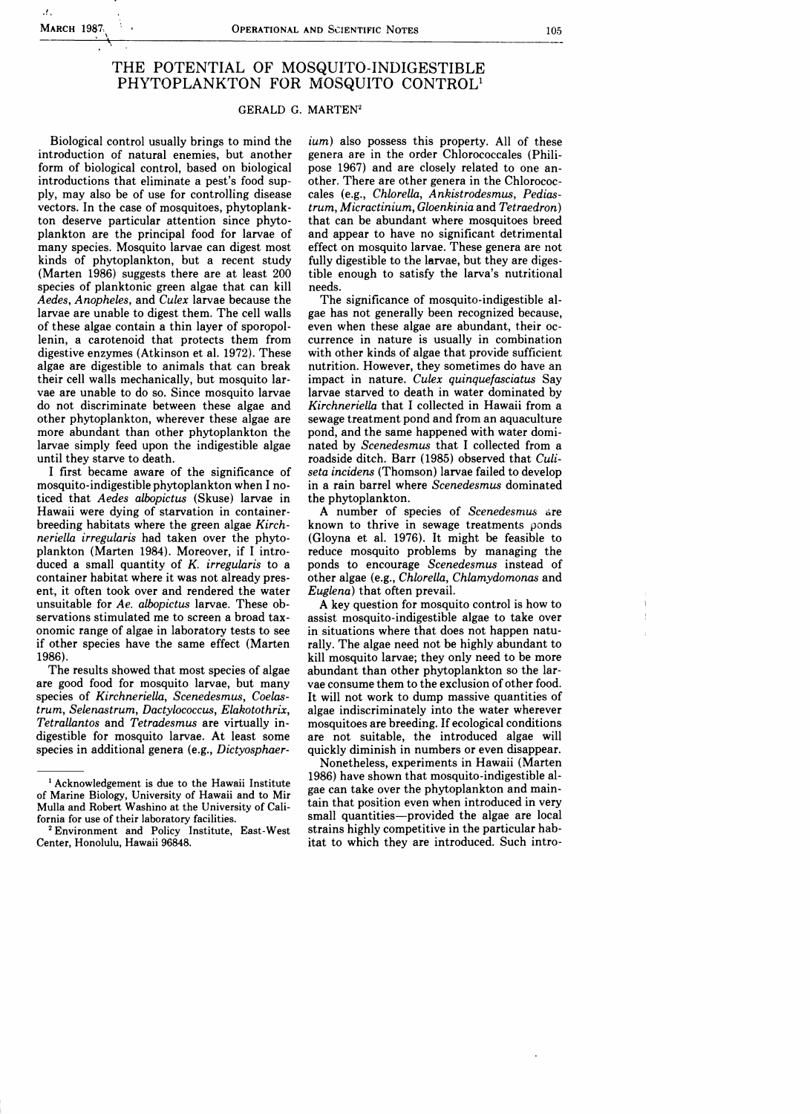·!.

## THE POTENTIAL OF MOSQUITO-INDIGESTIBLE PHYTOPLANKTON FOR MOSQUITO CONTROLl

## GERALD G. MARTEN2

Biological control usually brings to mind the introduction of natural enemies, but another form of biological control, based on biological introductions that eliminate a pest's food supply, may also be of use for controlling disease vectors. In the case of mosquitoes, phytoplankton deserve particular attention since phytoplankton are the principal food for larvae of many species. Mosquito larvae can digest most kinds of phytoplankton, but a recent study (Marten 1986) suggests there are at least 200 species of planktonic green algae that can kill *Aedes, Anopheles,* and *Culex* larvae because the larvae are unable to digest them. The cell walls of these algae contain a thin layer of sporopollenin, a carotenoid that protects them from digestive enzymes (Atkinson et al. 1972). These algae are digestible to animals that can break their cell walls mechanically, but mosquito larvae are unable to do so. Since mosquito larvae do not discriminate between these algae and other phytoplankton, wherever these algae are more abundant than other phytoplankton the larvae simply feed upon the indigestible algae until they starve to death.

I first became aware of the significance of mosquito-indigestible phytoplankton when I noticed that *Aedes albopictus* (Skuse) larvae in Hawaii were dying of starvation in containerbreeding habitats where the green algae *Kirchneriella irregularis* had taken over the phytoplankton (Marten 1984). Moreover, if I introduced a small quantity of *K. irregularis* to a container habitat where it was not already present, it often took over and rendered the water unsuitable for *Ae. albopictus* larvae. These observations stimulated me to screen a broad tax-0nomic range of algae in laboratory tests to see if other species have the same effect (Marten 1986).

The results showed that most species of algae are good food for mosquito larvae, but many species of *Kirchneriella, Scenedesmus, Coelastrum, Selenastrum, Dactylococcus, Elakotothrix, Tetrallantos* and *Tetradesmus* are virtually indigestible for mosquito larvae. At least some species in additional genera (e.g., *Dictyosphaer-* *ium)* also possess this property. All of these genera are in the order Chlorococcales (Philipose 1967) and are closely related to one another. There are other genera in the Chlorococcales (e.g., *Chlorella, Ankistrodesmus, Pediastrum, Micractinium, Gloenkinia* and *Tetraedron)*  that can be abundant where mosquitoes breed and appear to have no significant detrimental effect on mosquito larvae. These genera are not fully digestible to the larvae, but they are digestible enough to satisfy the larva's nutritional needs.

The significance of mosquito-indigestible algae has not generally been recognized because, even when these algae are abundant, their occurrence in nature is usually in combination with other kinds of algae that provide sufficient nutrition. However, they sometimes do have an impact in nature. *Culex quinquefasciatus* Say larvae starved to death in water dominated by *Kirchneriella* that I collected in Hawaii from a sewage treatment pond and from an aquaculture pond, and the same happened with water dominated by *Scenedesmus* that I collected from a roadside ditch. Barr (1985) observed that *Culiseta incidens* (Thomson) larvae failed to develop in a rain barrel where *Scenedesmus* dominated the phytoplankton.

A number of species of *Scenedesmus* are known to thrive in sewage treatments ponds (Gloyna et al. 1976). It might be feasible to reduce mosquito problems by managing the ponds to encourage *Scenedesmus* instead of other algae (e.g., *Chlorella, Chlamydomonas* and *Euglena)* that often prevail.

A key question for mosquito control is how to assist mosquito-indigestible algae to take over in situations where that does not happen naturally. The algae need not be highly abundant to kill mosquito larvae; they only need to be more abundant than other phytoplankton so the larvae consume them to the exclusion of other food. It will not work to dump massive quantities of algae indiscriminately into the water wherever mosquitoes are breeding. If ecological conditions are not suitable, the introduced algae will quickly diminish in numbers or even disappear.

Nonetheless, experiments in Hawaii (Marten 1986) have shown that mosquito-indigestible algae can take over the phytoplankton and maintain that position even when introduced in very small quantities-provided the algae are local strains highly competitive in the particular habitat to which they are introduced. Such intro

<sup>&</sup>lt;sup>1</sup> Acknowledgement is due to the Hawaii Institute of Marine Biology, University of Hawaii and to Mir Mulla and Robert Washino at the University of California for use of their laboratory facilities.

<sup>2</sup> Environment and Policy Institute, East-West Center, Honolulu, Hawaii 96848.